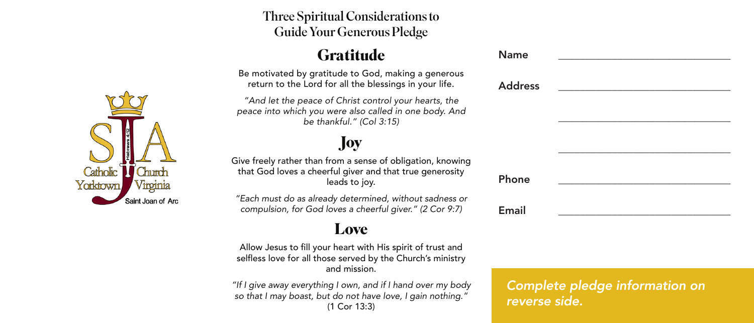#### Three Spiritual Considerations to Guide Your Generous Pledge

### **Gratitude**

Be motivated by gratitude to God, making a generous return to the Lord for all the blessings in your life.

*"And let the peace of Christ control your hearts, the peace into which you were also called in one body. And be thankful." (Col 3:15)*

# **Joy**

Give freely rather than from a sense of obligation, knowing that God loves a cheerful giver and that true generosity leads to joy.

*"Each must do as already determined, without sadness or compulsion, for God loves a cheerful giver." (2 Cor 9:7)*

#### **Love**

Allow Jesus to fill your heart with His spirit of trust and selfless love for all those served by the Church's ministry and mission.

*"If I give away everything I own, and if I hand over my body so that I may boast, but do not have love, I gain nothing."*  (1 Cor 13:3)

*Complete pledge information on reverse side.*

Name \_\_\_\_\_\_\_\_\_\_\_\_\_\_\_\_\_\_\_\_\_\_\_\_\_\_\_\_\_\_\_\_

\_\_\_\_\_\_\_\_\_\_\_\_\_\_\_\_\_\_\_\_\_\_\_\_\_\_\_\_\_\_\_\_

\_\_\_\_\_\_\_\_\_\_\_\_\_\_\_\_\_\_\_\_\_\_\_\_\_\_\_\_\_\_\_\_



| Address |  |
|---------|--|

Phone

Email \_\_\_\_\_\_\_\_\_\_\_\_\_\_\_\_\_\_\_\_\_\_\_\_\_\_\_\_\_\_\_\_